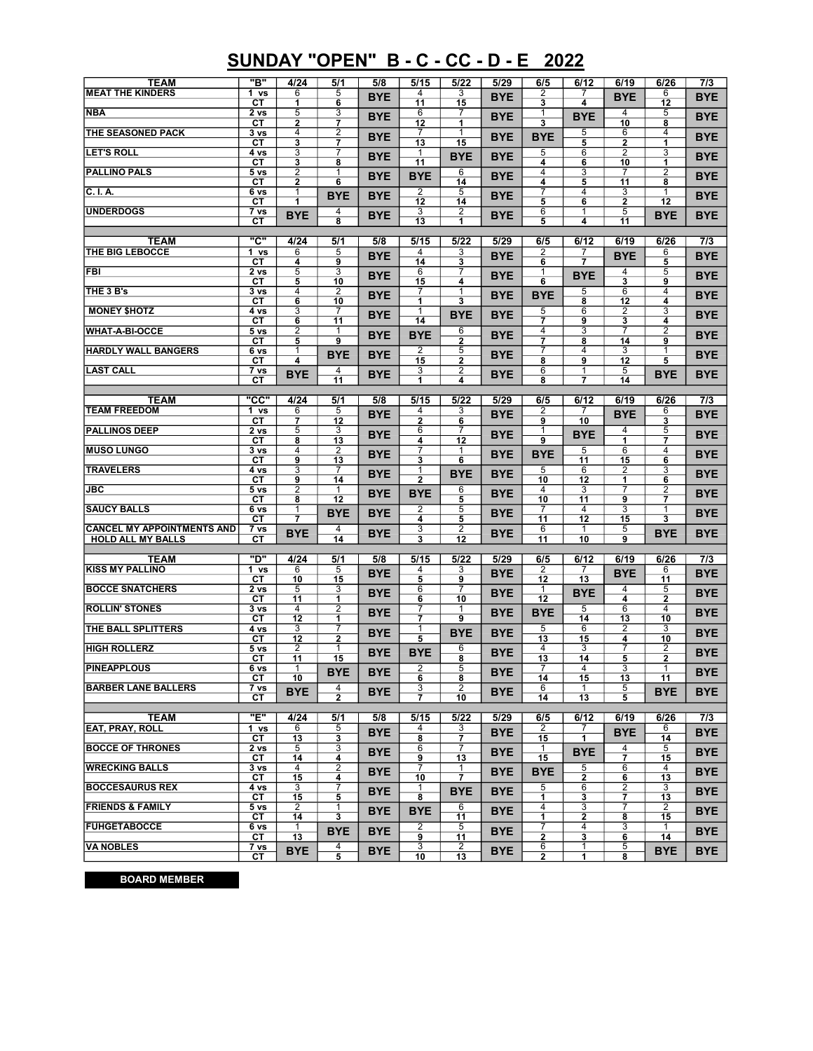## SUNDAY "OPEN" B - C - CC - D - E 2022

| <b>TEAM</b><br><b>MEAT THE KINDERS</b>                        | "B"<br>1 vs                  | 4/24<br>6            | 5/1<br>5                                | 5/8        | 5/15<br>4                    | 5/22<br>3                      | 5/29       | 6/5<br>2                     | 6/12<br>7           | 6/19                         | 6/26<br>6                        | 7/3        |
|---------------------------------------------------------------|------------------------------|----------------------|-----------------------------------------|------------|------------------------------|--------------------------------|------------|------------------------------|---------------------|------------------------------|----------------------------------|------------|
|                                                               | CТ                           | 1                    | 6                                       | <b>BYE</b> | 11                           | 15                             | <b>BYE</b> | 3                            | 4                   | <b>BYE</b>                   | 12                               | <b>BYE</b> |
| <b>NBA</b>                                                    | 2 <sub>vs</sub><br>CТ        | 5<br>$\overline{2}$  | 3<br>7                                  | <b>BYE</b> | 6<br>12                      | 7<br>1                         | <b>BYE</b> | 1<br>$\overline{\mathbf{3}}$ | <b>BYE</b>          | 4<br>10                      | 5<br>8                           | <b>BYE</b> |
| THE SEASONED PACK                                             | 3 <sub>vs</sub><br>CТ        | $\overline{4}$<br>3  | 2<br>7                                  | <b>BYE</b> | 7<br>13                      | 1<br>15                        | <b>BYE</b> | <b>BYE</b>                   | 5<br>5              | 6<br>2                       | 4<br>$\overline{1}$              | <b>BYE</b> |
| <b>LET'S ROLL</b>                                             | 4 vs                         | 3                    | 7                                       | <b>BYE</b> | 1                            | <b>BYE</b>                     | <b>BYE</b> | 5                            | 6                   | 2                            | 3                                | <b>BYE</b> |
| <b>PALLINO PALS</b>                                           | CТ<br>5 vs                   | 3<br>2               | 8                                       | <b>BYE</b> | 11                           | 6                              | <b>BYE</b> | 4<br>4                       | 6<br>3              | 10                           | 1<br>2                           | <b>BYE</b> |
| C. I.A.                                                       | CТ<br>6 vs                   | 2<br>1               | 6                                       |            | <b>BYE</b><br>$\overline{2}$ | 14<br>5                        |            | 4                            | 5<br>4              | 11<br>3                      | 8                                |            |
|                                                               | CТ                           | 1                    | <b>BYE</b>                              | <b>BYE</b> | 12                           | 14                             | <b>BYE</b> | 7<br>5                       | 6                   | 2                            | 12                               | <b>BYE</b> |
| <b>UNDERDOGS</b>                                              | 7 vs<br>CТ                   | <b>BYE</b>           | 4<br>8                                  | <b>BYE</b> | $\overline{3}$<br>13         | 2<br>1                         | <b>BYE</b> | 6<br>5                       | 1<br>4              | 5<br>11                      | <b>BYE</b>                       | <b>BYE</b> |
| <b>TEAM</b>                                                   | "C"                          | 4/24                 | 5/1                                     | 5/8        | 5/15                         | 5/22                           | 5/29       | 6/5                          | 6/12                | 6/19                         | 6/26                             | 7/3        |
| THE BIG LEBOCCE                                               | 1 vs                         | 6                    | 5                                       | <b>BYE</b> | 4                            | 3                              | <b>BYE</b> | 2                            | 7                   | <b>BYE</b>                   | 6                                | <b>BYE</b> |
| <b>FBI</b>                                                    | CТ<br>2 vs                   | 4<br>5               | 9<br>3                                  | <b>BYE</b> | 14<br>6                      | 3<br>7                         | <b>BYE</b> | 6<br>1                       | 7<br><b>BYE</b>     | 4                            | 5<br>5                           | <b>BYE</b> |
| THE 3 B's                                                     | CТ<br>3 vs                   | 5<br>4               | 10<br>$\overline{2}$                    |            | 15<br>7                      | 4<br>1                         |            | $\overline{\mathbf{6}}$      | 5                   | $\overline{\mathbf{3}}$<br>6 | 9<br>$\overline{4}$              |            |
|                                                               | CТ                           | 6                    | 10                                      | <b>BYE</b> | 1                            | 3                              | <b>BYE</b> | <b>BYE</b>                   | 8                   | 12                           | 4                                | <b>BYE</b> |
| <b>MONEY \$HOTZ</b>                                           | 4 vs<br>CТ                   | 3<br>6               | 7<br>11                                 | <b>BYE</b> | 1<br>14                      | <b>BYE</b>                     | <b>BYE</b> | 5<br>7                       | 6<br>9              | 2<br>3                       | 3<br>4                           | <b>BYE</b> |
| <b>WHAT-A-BI-OCCE</b>                                         | 5 vs                         | 2                    |                                         | <b>BYE</b> | <b>BYE</b>                   | 6                              | <b>BYE</b> | 4                            | 3                   | 7                            | 2                                | <b>BYE</b> |
| <b>HARDLY WALL BANGERS</b>                                    | СT<br>6 vs                   | 5<br>1               | 9<br><b>BYE</b>                         | <b>BYE</b> | $\overline{2}$               | 2<br>5                         | <b>BYE</b> | 7<br>7                       | 8<br>4              | 14<br>3                      | 9                                | <b>BYE</b> |
| <b>LAST CALL</b>                                              | CТ<br>7 vs                   | 4                    | 4                                       |            | 15<br>3                      | $\mathbf{2}$<br>$\overline{2}$ |            | 8<br>$\overline{6}$          | 9<br>$\overline{1}$ | 12<br>5                      | $\overline{5}$                   |            |
|                                                               | CТ                           | BYE                  | 11                                      | <b>BYE</b> | 1                            | 4                              | <b>BYE</b> | 8                            | $\overline{7}$      | 14                           | <b>BYE</b>                       | <b>BYE</b> |
| <b>TEAM</b>                                                   | "CC"                         | 4/24                 | 5/1                                     | 5/8        | 5/15                         | 5/22                           | 5/29       | 6/5                          | 6/12                | 6/19                         | 6/26                             | 7/3        |
| <b>TEAM FREEDOM</b>                                           | 1 vs<br>СT                   | 6<br>$\overline{7}$  | 5<br>12                                 | <b>BYE</b> | 4<br>$\mathbf 2$             | 3<br>6                         | <b>BYE</b> | 2<br>9                       | 7<br>10             | <b>BYE</b>                   | 6<br>3                           | <b>BYE</b> |
| <b>PALLINOS DEEP</b>                                          | 2 vs                         | 5                    | 3                                       | <b>BYE</b> | 6                            | 7                              | <b>BYE</b> | 1                            | <b>BYE</b>          | 4                            | 5                                | <b>BYE</b> |
| <b>MUSO LUNGO</b>                                             | CТ<br>3 vs                   | 8<br>$\overline{4}$  | 13<br>$\overline{2}$                    |            | 4<br>7                       | 12                             |            | 9                            | 5                   | 1<br>$\overline{6}$          | $\overline{7}$<br>$\overline{4}$ |            |
|                                                               | CТ                           | 9                    | 13                                      | <b>BYE</b> | 3                            | 6                              | <b>BYE</b> | <b>BYE</b>                   | 11                  | 15                           | $\overline{6}$                   | <b>BYE</b> |
| <b>TRAVELERS</b>                                              | 4 vs<br>CТ                   | 3<br>9               | 7<br>14                                 | <b>BYE</b> | 1<br>$\overline{2}$          | <b>BYE</b>                     | <b>BYE</b> | $\overline{5}$<br>10         | 6<br>12             | 2<br>1                       | 3<br>6                           | <b>BYE</b> |
| <b>JBC</b>                                                    | 5 <sub>vs</sub><br>CТ        | $\overline{2}$<br>8  | $\mathbf{1}$<br>12                      | <b>BYE</b> | <b>BYE</b>                   | 6<br>5                         | <b>BYE</b> | 4<br>10                      | 3<br>11             | 7<br>9                       | $\overline{2}$<br>7              | <b>BYE</b> |
| <b>SAUCY BALLS</b>                                            | 6 vs<br>CТ                   | 1<br>$\overline{7}$  | <b>BYE</b>                              | <b>BYE</b> | $\overline{2}$<br>4          | 5<br>5                         | <b>BYE</b> | 7<br>11                      | 4<br>12             | 3<br>15                      | 1<br>3                           | <b>BYE</b> |
| <b>CANCEL MY APPOINTMENTS AND</b><br><b>HOLD ALL MY BALLS</b> | 7 vs<br>CТ                   | <b>BYE</b>           | 4<br>14                                 | <b>BYE</b> | $\overline{3}$<br>3          | $\overline{2}$<br>12           | <b>BYE</b> | $6\overline{6}$<br>11        | $\mathbf{1}$<br>10  | 5<br>9                       | <b>BYE</b>                       | <b>BYE</b> |
|                                                               |                              |                      |                                         |            |                              |                                |            |                              |                     |                              |                                  |            |
| <b>TEAM</b><br><b>KISS MY PALLINO</b>                         | "ס<br>1 vs                   | 4/24<br>6            | 5/1<br>$\overline{5}$                   | 5/8        | 5/15<br>4                    | 5/22<br>3                      | 5/29       | 6/5<br>2                     | 6/12<br>7           | 6/19                         | 6/26<br>6                        | 7/3        |
|                                                               | CТ                           | 10                   | 15                                      | <b>BYE</b> | $\overline{5}$               | 9                              | <b>BYE</b> | 12                           | 13                  | <b>BYE</b>                   | 11                               | <b>BYE</b> |
| <b>BOCCE SNATCHERS</b>                                        | 2 vs<br>СT                   | 5<br>11              | 3<br>1                                  | <b>BYE</b> | 6<br>6                       | $\overline{7}$<br>10           | <b>BYE</b> | 1<br>$\overline{12}$         | <b>BYE</b>          | 4<br>4                       | 5<br>$\mathbf 2$                 | <b>BYE</b> |
| <b>ROLLIN' STONES</b>                                         | 3 <sub>vs</sub><br>CТ        | 4<br>12              | $\overline{2}$<br>1                     | <b>BYE</b> | 7<br>7                       | 1<br>9                         | <b>BYE</b> | <b>BYE</b>                   | 5<br>14             | 6<br>13                      | $\overline{4}$<br>10             | <b>BYE</b> |
| THE BALL SPLITTERS                                            | 4 vs                         | 3                    | 7                                       | <b>BYE</b> | 1                            | <b>BYE</b>                     | <b>BYE</b> | $\overline{5}$               | 6                   | $\overline{2}$               | 3                                | <b>BYE</b> |
| <b>HIGH ROLLERZ</b>                                           | <b>CT</b><br>5 <sub>vs</sub> | 12<br>2              | $\overline{\mathbf{2}}$<br>$\mathbf{1}$ |            | 5                            | 6                              |            | 13<br>4                      | 15<br>3             | 4<br>7                       | 10<br>2                          |            |
| <b>PINEAPPLOUS</b>                                            | CТ<br>6 vs                   | 11                   | 15                                      | <b>BYE</b> | <b>BYE</b>                   | 8<br>5                         | <b>BYE</b> | 13                           | 14                  | 5                            | 2                                | <b>BYE</b> |
|                                                               | CТ                           | 10                   | <b>BYE</b>                              | <b>BYE</b> | ے<br>6                       | 8                              | <b>BYE</b> | 14                           | 15                  | ت.<br>13                     | $\mathbf{I}$<br>11               | <b>BYE</b> |
| <b>BARBER LANE BALLERS</b>                                    | 7 vs<br>CТ                   | <b>BYE</b>           | 4                                       | <b>BYE</b> | 3<br>$\overline{7}$          | 2<br>10                        | <b>BYE</b> | 6<br>14                      | $\mathbf{1}$<br>13  | 5<br>5                       | <b>BYE</b>                       | <b>BYE</b> |
| <b>TEAM</b>                                                   | "Е"                          | 4/24                 | 5/1                                     | 5/8        | 5/15                         | 5/22                           | 5/29       | 6/5                          | 6/12                | 6/19                         | 6/26                             | 7/3        |
| <b>EAT, PRAY, ROLL</b>                                        | 1 vs                         | 6                    | 5                                       | <b>BYE</b> | 4                            | 3                              | <b>BYE</b> | 2                            | 7                   | <b>BYE</b>                   | 6                                | <b>BYE</b> |
| <b>BOCCE OF THRONES</b>                                       | CT.<br>2 vs                  | 13<br>5              | 3<br>3                                  | <b>BYE</b> | 8<br>6                       | 7<br>7                         | <b>BYE</b> | 15<br>1                      | 1<br><b>BYE</b>     | 4                            | 14<br>5                          | <b>BYE</b> |
| <b>WRECKING BALLS</b>                                         | CТ<br>3 vs                   | 14<br>4              | 4<br>2                                  |            | 9<br>7                       | 13<br>1                        |            | 15                           | 5                   | $\overline{7}$<br>6          | 15<br>4                          |            |
| <b>BOCCESAURUS REX</b>                                        | СT<br>4 vs                   | 15<br>3              | 4<br>7                                  | <b>BYE</b> | 10                           | 7                              | <b>BYE</b> | <b>BYE</b>                   | 2<br>6              | 6<br>2                       | 13<br>3                          | <b>BYE</b> |
|                                                               | CТ                           | 15                   | 5                                       | <b>BYE</b> | 1<br>8                       | BYE                            | <b>BYE</b> | 5<br>1                       | 3                   | 7                            | 13                               | <b>BYE</b> |
| <b>FRIENDS &amp; FAMILY</b>                                   | 5 <sub>vs</sub><br>СT        | $\overline{2}$<br>14 | 1<br>3                                  | <b>BYE</b> | <b>BYE</b>                   | 6<br>11                        | <b>BYE</b> | 4<br>1                       | 3<br>2              | 7<br>8                       | $\overline{2}$<br>15             | <b>BYE</b> |
| <b>FUHGETABOCCE</b>                                           | 6 vs<br>CТ                   | 1<br>13              | <b>BYE</b>                              | <b>BYE</b> | 2<br>9                       | 5<br>11                        | <b>BYE</b> | 2                            | 4<br>3              | 3<br>6                       | 1<br>14                          | <b>BYE</b> |
| <b>VA NOBLES</b>                                              | 7 vs<br>CТ                   | <b>BYE</b>           | 4                                       | <b>BYE</b> | 3<br>10                      | 2<br>13                        | <b>BYE</b> | 6<br>$\mathbf{2}$            | 1<br>1              | 5<br>8                       | <b>BYE</b>                       | <b>BYE</b> |

BOARD MEMBER